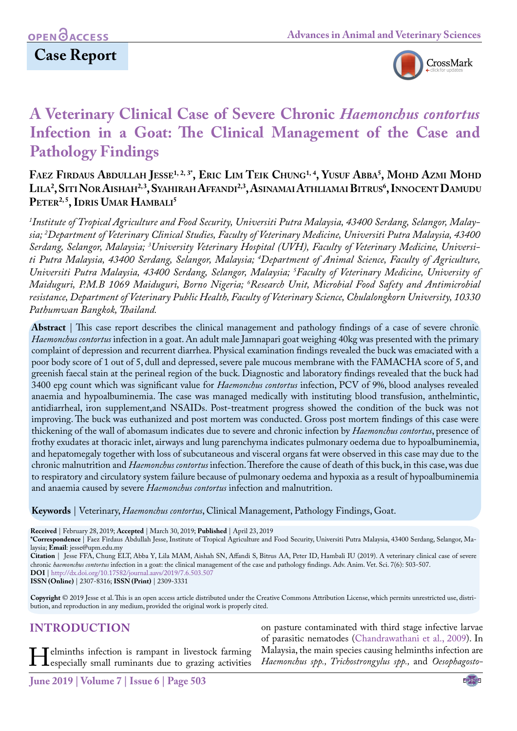

# **A Veterinary Clinical Case of Severe Chronic** *Haemonchus contortus*  **Infection in a Goat: The Clinical Management of the Case and Pathology Findings**

**Faez Firdaus Abdullah Jesse1, 2, 3\*, Eric Lim Teik Chung1, 4, Yusuf Abba5 , Mohd Azmi Mohd Lila2 , SitiNor Aishah2, 3, Syahirah Affandi2,3, AsinamaiAthliamaiBitrus6 , InnocentDamudu** PETER<sup>2, 5</sup>, IDRIS UMAR HAMBALI<sup>5</sup>

*1 Institute of Tropical Agriculture and Food Security, Universiti Putra Malaysia, 43400 Serdang, Selangor, Malaysia; 2 Department of Veterinary Clinical Studies, Faculty of Veterinary Medicine, Universiti Putra Malaysia, 43400*  Serdang, Selangor, Malaysia; <sup>3</sup>University Veterinary Hospital (UVH), Faculty of Veterinary Medicine, Universi*ti Putra Malaysia, 43400 Serdang, Selangor, Malaysia; 4 Department of Animal Science, Faculty of Agriculture, Universiti Putra Malaysia, 43400 Serdang, Selangor, Malaysia; 5 Faculty of Veterinary Medicine, University of Maiduguri, P.M.B 1069 Maiduguri, Borno Nigeria; 6 Research Unit, Microbial Food Safety and Antimicrobial resistance, Department of Veterinary Public Health, Faculty of Veterinary Science, Chulalongkorn University, 10330 Pathumwan Bangkok, Thailand.*

**Abstract** | This case report describes the clinical management and pathology findings of a case of severe chronic *Haemonchus contortus* infection in a goat. An adult male Jamnapari goat weighing 40kg was presented with the primary complaint of depression and recurrent diarrhea. Physical examination findings revealed the buck was emaciated with a poor body score of 1 out of 5, dull and depressed, severe pale mucous membrane with the FAMACHA score of 5, and greenish faecal stain at the perineal region of the buck. Diagnostic and laboratory findings revealed that the buck had 3400 epg count which was significant value for *Haemonchus contortus* infection, PCV of 9%, blood analyses revealed anaemia and hypoalbuminemia. The case was managed medically with instituting blood transfusion, anthelmintic, antidiarrheal, iron supplement,and NSAIDs. Post-treatment progress showed the condition of the buck was not improving. The buck was euthanized and post mortem was conducted. Gross post mortem findings of this case were thickening of the wall of abomasum indicates due to severe and chronic infection by *Haemonchus contortus*, presence of frothy exudates at thoracic inlet, airways and lung parenchyma indicates pulmonary oedema due to hypoalbuminemia, and hepatomegaly together with loss of subcutaneous and visceral organs fat were observed in this case may due to the chronic malnutrition and *Haemonchus contortus* infection. Therefore the cause of death of this buck, in this case, was due to respiratory and circulatory system failure because of pulmonary oedema and hypoxia as a result of hypoalbuminemia and anaemia caused by severe *Haemonchus contortus* infection and malnutrition.

**Keywords** | Veterinary, *Haemonchus contortus*, Clinical Management, Pathology Findings, Goat.

**Received** | February 28, 2019; **Accepted** | March 30, 2019; **Published** | April 23, 2019

**\*Correspondence** | Faez Firdaus Abdullah Jesse, Institute of Tropical Agriculture and Food Security, Universiti Putra Malaysia, 43400 Serdang, Selangor, Malaysia; **Email**: jesse@upm.edu.my

**Citation** | Jesse FFA, Chung ELT, Abba Y, Lila MAM, Aishah SN, Affandi S, Bitrus AA, Peter ID, Hambali IU (2019). A veterinary clinical case of severe chronic *haemonchus contortus* infection in a goat: the clinical management of the case and pathology findings. Adv. Anim. Vet. Sci. 7(6): 503-507. **DOI** | [http://dx.doi.org/10.17582/journal.aavs/2019](http://dx.doi.org/10.17582/journal.aavs/2019/7.6.503.507)/7.6.503.507

**ISSN (Online)** | 2307-8316; **ISSN (Print)** | 2309-3331

**Copyright** © 2019 Jesse et al. This is an open access article distributed under the Creative Commons Attribution License, which permits unrestricted use, distribution, and reproduction in any medium, provided the original work is properly cited.

#### **Introduction**

**Helminths infection is rampant in livestock farming**<br>especially small ruminants due to grazing activities

on pasture contaminated with third stage infective larvae of parasitic nematodes ([Chandrawathani et al., 2009\)](#page-3-0). In Malaysia, the main species causing helminths infection are *Haemonchus spp., Trichostrongylus spp.,* and *Oesophagosto-*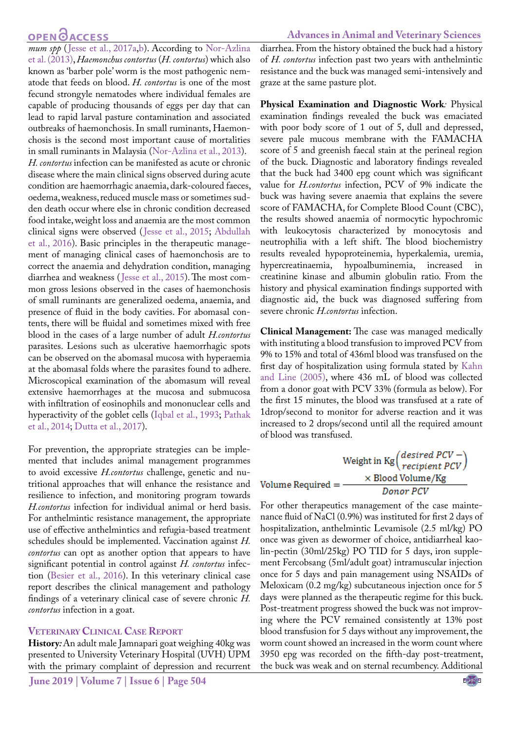#### **OPEN**OACCESS

#### **Advances in Animal and Veterinary Sciences**

*mum spp* ([Jesse et al., 2017a](#page-4-0)[,b\)](#page-4-1). According to [Nor-Azlina](#page-4-2) [et al. \(2013\)](#page-4-2), *Haemonchus contortus* (*H. contortus*) which also known as 'barber pole' worm is the most pathogenic nematode that feeds on blood. *H. contortus* is one of the most fecund strongyle nematodes where individual females are capable of producing thousands of eggs per day that can lead to rapid larval pasture contamination and associated outbreaks of haemonchosis. In small ruminants, Haemonchosis is the second most important cause of mortalities in small ruminants in Malaysia [\(Nor-Azlina et al., 2013\)](#page-4-2). *H. contortus* infection can be manifested as acute or chronic disease where the main clinical signs observed during acute condition are haemorrhagic anaemia, dark-coloured faeces, oedema, weakness, reduced muscle mass or sometimes sudden death occur where else in chronic condition decreased food intake, weight loss and anaemia are the most common clinical signs were observed ([Jesse et al., 2015;](#page-4-3) [Abdullah](#page-3-1) [et al., 2016\)](#page-3-1). Basic principles in the therapeutic management of managing clinical cases of haemonchosis are to correct the anaemia and dehydration condition, managing diarrhea and weakness ([Jesse et al., 2015](#page-4-3)). The most common gross lesions observed in the cases of haemonchosis of small ruminants are generalized oedema, anaemia, and presence of fluid in the body cavities. For abomasal contents, there will be fluidal and sometimes mixed with free blood in the cases of a large number of adult *H.contortus* parasites. Lesions such as ulcerative haemorrhagic spots can be observed on the abomasal mucosa with hyperaemia at the abomasal folds where the parasites found to adhere. Microscopical examination of the abomasum will reveal extensive haemorrhages at the mucosa and submucosa with infiltration of eosinophils and mononuclear cells and hyperactivity of the goblet cells ([Iqbal et al., 1993](#page-4-4); [Pathak](#page-4-5) [et al., 2014;](#page-4-5) [Dutta et al., 2017](#page-3-2)).

For prevention, the appropriate strategies can be implemented that includes animal management programmes to avoid excessive *H.contortus* challenge, genetic and nutritional approaches that will enhance the resistance and resilience to infection, and monitoring program towards *H.contortus* infection for individual animal or herd basis. For anthelmintic resistance management, the appropriate use of effective anthelmintics and refugia-based treatment schedules should be implemented. Vaccination against *H. contortus* can opt as another option that appears to have significant potential in control against *H. contortus* infection [\(Besier et al., 2016](#page-3-3)). In this veterinary clinical case report describes the clinical management and pathology findings of a veterinary clinical case of severe chronic *H. contortus* infection in a goat.

#### **Veterinary Clinical Case Report**

**History***:* An adult male Jamnapari goat weighing 40kg was presented to University Veterinary Hospital (UVH) UPM with the primary complaint of depression and recurrent diarrhea. From the history obtained the buck had a history of *H. contortus* infection past two years with anthelmintic resistance and the buck was managed semi-intensively and graze at the same pasture plot.

**Physical Examination and Diagnostic Work***:* Physical examination findings revealed the buck was emaciated with poor body score of 1 out of 5, dull and depressed, severe pale mucous membrane with the FAMACHA score of 5 and greenish faecal stain at the perineal region of the buck. Diagnostic and laboratory findings revealed that the buck had 3400 epg count which was significant value for *H.contortus* infection, PCV of 9% indicate the buck was having severe anaemia that explains the severe score of FAMACHA, for Complete Blood Count (CBC), the results showed anaemia of normocytic hypochromic with leukocytosis characterized by monocytosis and neutrophilia with a left shift. The blood biochemistry results revealed hypoproteinemia, hyperkalemia, uremia, hypercreatinaemia, hypoalbuminemia, increased creatinine kinase and albumin globulin ratio. From the history and physical examination findings supported with diagnostic aid, the buck was diagnosed suffering from severe chronic *H.contortus* infection.

**Clinical Management:** The case was managed medically with instituting a blood transfusion to improved PCV from 9% to 15% and total of 436ml blood was transfused on the first day of hospitalization using formula stated by [Kahn](#page-4-6)  [and Line \(2005\),](#page-4-6) where 436 mL of blood was collected from a donor goat with PCV 33% (formula as below). For the first 15 minutes, the blood was transfused at a rate of 1drop/second to monitor for adverse reaction and it was increased to 2 drops/second until all the required amount of blood was transfused.

$$
Weight in Kg\left(\frac{desired PCV -}{recipient PCV}\right)
$$
  
Volume Required = 
$$
\frac{\times Blood Volume/Kg}{Donor PCV}
$$

For other therapeutics management of the case maintenance fluid of NaCl (0.9%) was instituted for first 2 days of hospitalization, anthelmintic Levamisole (2.5 ml/kg) PO once was given as dewormer of choice, antidiarrheal kaolin-pectin (30ml/25kg) PO TID for 5 days, iron supplement Fercobsang (5ml/adult goat) intramuscular injection once for 5 days and pain management using NSAIDs of Meloxicam (0.2 mg/kg) subcutaneous injection once for 5 days were planned as the therapeutic regime for this buck. Post-treatment progress showed the buck was not improving where the PCV remained consistently at 13% post blood transfusion for 5 days without any improvement, the worm count showed an increased in the worm count where 3950 epg was recorded on the fifth-day post-treatment, the buck was weak and on sternal recumbency. Additional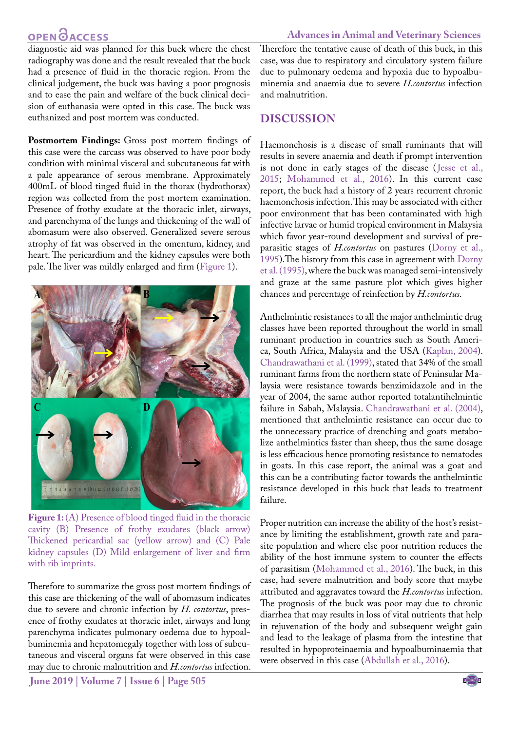### **OPEN CACCESS**

#### **Advances in Animal and Veterinary Sciences**

diagnostic aid was planned for this buck where the chest radiography was done and the result revealed that the buck had a presence of fluid in the thoracic region. From the clinical judgement, the buck was having a poor prognosis and to ease the pain and welfare of the buck clinical decision of euthanasia were opted in this case. The buck was euthanized and post mortem was conducted.

Postmortem Findings: Gross post mortem findings of this case were the carcass was observed to have poor body condition with minimal visceral and subcutaneous fat with a pale appearance of serous membrane. Approximately 400mL of blood tinged fluid in the thorax (hydrothorax) region was collected from the post mortem examination. Presence of frothy exudate at the thoracic inlet, airways, and parenchyma of the lungs and thickening of the wall of abomasum were also observed. Generalized severe serous atrophy of fat was observed in the omentum, kidney, and heart. The pericardium and the kidney capsules were both pale. The liver was mildly enlarged and firm [\(Figure 1](#page-2-0)).



Figure 1: (A) Presence of blood tinged fluid in the thoracic cavity (B) Presence of frothy exudates (black arrow) Thickened pericardial sac (yellow arrow) and (C) Pale kidney capsules (D) Mild enlargement of liver and firm with rib imprints.

<span id="page-2-0"></span>Therefore to summarize the gross post mortem findings of this case are thickening of the wall of abomasum indicates due to severe and chronic infection by *H. contortus*, presence of frothy exudates at thoracic inlet, airways and lung parenchyma indicates pulmonary oedema due to hypoalbuminemia and hepatomegaly together with loss of subcutaneous and visceral organs fat were observed in this case may due to chronic malnutrition and *H.contortus* infection.

Therefore the tentative cause of death of this buck, in this case, was due to respiratory and circulatory system failure due to pulmonary oedema and hypoxia due to hypoalbuminemia and anaemia due to severe *H.contortus* infection and malnutrition.

#### **Discussion**

Haemonchosis is a disease of small ruminants that will results in severe anaemia and death if prompt intervention is not done in early stages of the disease ([Jesse et al.,](#page-4-3)  [2015;](#page-4-3) [Mohammed et al., 2016\)](#page-4-7). In this current case report, the buck had a history of 2 years recurrent chronic haemonchosis infection. This may be associated with either poor environment that has been contaminated with high infective larvae or humid tropical environment in Malaysia which favor year-round development and survival of preparasitic stages of *H.contortus* on pastures [\(Dorny et al.,](#page-3-4)  [1995\)](#page-3-4).The history from this case in agreement with [Dorny](#page-3-4)  [et al. \(1995\),](#page-3-4) where the buck was managed semi-intensively and graze at the same pasture plot which gives higher chances and percentage of reinfection by *H.contortus*.

Anthelmintic resistances to all the major anthelmintic drug classes have been reported throughout the world in small ruminant production in countries such as South America, South Africa, Malaysia and the USA [\(Kaplan, 2004\)](#page-4-8). [Chandrawathani et al. \(1999\),](#page-3-5) stated that 34% of the small ruminant farms from the northern state of Peninsular Malaysia were resistance towards benzimidazole and in the year of 2004, the same author reported totalantihelmintic failure in Sabah, Malaysia. [Chandrawathani et al. \(2004\),](#page-3-6) mentioned that anthelmintic resistance can occur due to the unnecessary practice of drenching and goats metabolize anthelmintics faster than sheep, thus the same dosage is less efficacious hence promoting resistance to nematodes in goats. In this case report, the animal was a goat and this can be a contributing factor towards the anthelmintic resistance developed in this buck that leads to treatment failure.

Proper nutrition can increase the ability of the host's resistance by limiting the establishment, growth rate and parasite population and where else poor nutrition reduces the ability of the host immune system to counter the effects of parasitism ([Mohammed et al., 2016\)](#page-4-7). The buck, in this case, had severe malnutrition and body score that maybe attributed and aggravates toward the *H.contortus* infection. The prognosis of the buck was poor may due to chronic diarrhea that may results in loss of vital nutrients that help in rejuvenation of the body and subsequent weight gain and lead to the leakage of plasma from the intestine that resulted in hypoproteinaemia and hypoalbuminaemia that were observed in this case ([Abdullah et al., 2016\)](#page-3-1).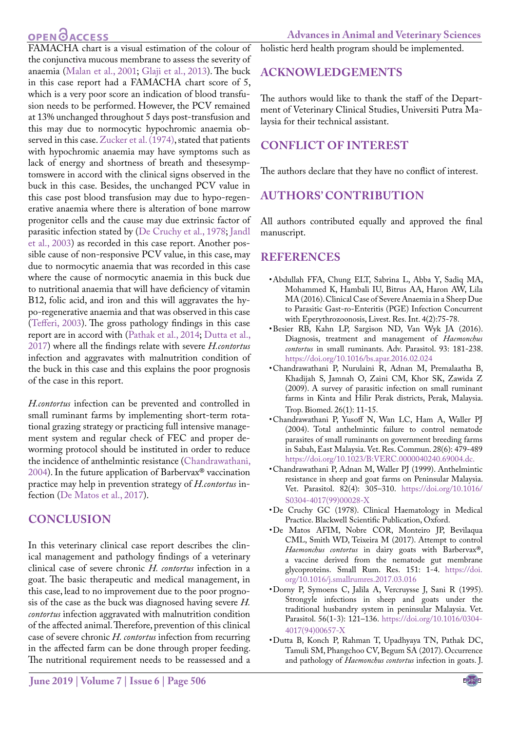## **OPEN**OACCESS

in this case report had a FAMACHA chart score of 5, which is a very poor score an indication of blood transfusion needs to be performed. However, the PCV remained at 13% unchanged throughout 5 days post-transfusion and this may due to normocytic hypochromic anaemia observed in this case. [Zucker et al. \(1974\),](#page-4-11) stated that patients with hypochromic anaemia may have symptoms such as lack of energy and shortness of breath and thesesymptomswere in accord with the clinical signs observed in the buck in this case. Besides, the unchanged PCV value in this case post blood transfusion may due to hypo-regenerative anaemia where there is alteration of bone marrow progenitor cells and the cause may due extrinsic factor of parasitic infection stated by ([De Cruchy et al., 1978](#page-3-7)[; Jandl](#page-4-12) [et al., 2003\)](#page-4-12) as recorded in this case report. Another possible cause of non-responsive PCV value, in this case, may due to normocytic anaemia that was recorded in this case where the cause of normocytic anaemia in this buck due to nutritional anaemia that will have deficiency of vitamin B12, folic acid, and iron and this will aggravates the hypo-regenerative anaemia and that was observed in this case [\(Tefferi, 2003\)](#page-4-13). The gross pathology findings in this case report are in accord with ([Pathak et al., 2014;](#page-4-5) [Dutta et al.,](#page-3-2) [2017\)](#page-3-2) where all the findings relate with severe *H.contortus* infection and aggravates with malnutrition condition of the buck in this case and this explains the poor prognosis of the case in this report.

*H.contortus* infection can be prevented and controlled in small ruminant farms by implementing short-term rotational grazing strategy or practicing full intensive management system and regular check of FEC and proper deworming protocol should be instituted in order to reduce the incidence of anthelmintic resistance ([Chandrawathani,](#page-3-6) [2004\)](#page-3-6). In the future application of Barbervax® vaccination practice may help in prevention strategy of *H.contortus* infection [\(De Matos et al., 2017](#page-3-8)).

### **Conclusion**

In this veterinary clinical case report describes the clinical management and pathology findings of a veterinary clinical case of severe chronic *H. contortus* infection in a goat. The basic therapeutic and medical management, in this case, lead to no improvement due to the poor prognosis of the case as the buck was diagnosed having severe *H. contortus* infection aggravated with malnutrition condition of the affected animal. Therefore, prevention of this clinical case of severe chronic *H. contortus* infection from recurring in the affected farm can be done through proper feeding. The nutritional requirement needs to be reassessed and a

holistic herd health program should be implemented.

## **Acknowledgements**

The authors would like to thank the staff of the Department of Veterinary Clinical Studies, Universiti Putra Malaysia for their technical assistant.

## **Conflict of Interest**

The authors declare that they have no conflict of interest.

## **Authors' Contribution**

All authors contributed equally and approved the final manuscript.

### **References**

- <span id="page-3-1"></span>• Abdullah FFA, Chung ELT, Sabrina L, Abba Y, Sadiq MA, Mohammed K, Hambali IU, Bitrus AA, Haron AW, Lila MA (2016). Clinical Case of Severe Anaemia in a Sheep Due to Parasitic Gast-ro-Enteritis (PGE) Infection Concurrent with Eperythrozoonosis, Livest. Res. Int. 4(2):75-78.
- <span id="page-3-3"></span>• Besier RB, Kahn LP, Sargison ND, Van Wyk JA (2016). Diagnosis, treatment and management of *Haemonchus contortus* in small ruminants. Adv. Parasitol. 93: 181-238. [https://doi.org/10.1016/bs.apar.2016.02.024](https://doi.org/10.1016/bs.apar.2016.02.024 )
- <span id="page-3-0"></span>• Chandrawathani P, Nurulaini R, Adnan M, Premalaatha B, Khadijah S, Jamnah O, Zaini CM, Khor SK, Zawida Z (2009). A survey of parasitic infection on small ruminant farms in Kinta and Hilir Perak districts, Perak, Malaysia. Trop. Biomed. 26(1): 11-15.
- <span id="page-3-6"></span>• Chandrawathani P, Yusoff N, Wan LC, Ham A, Waller PJ (2004). Total anthelmintic failure to control nematode parasites of small ruminants on government breeding farms in Sabah, East Malaysia. Vet. Res. Commun. 28(6): 479-489 <https://doi.org/10.1023/B:VERC.0000040240.69004.dc.>
- <span id="page-3-5"></span>• Chandrawathani P, Adnan M, Waller PJ (1999). Anthelmintic resistance in sheep and goat farms on Peninsular Malaysia. Vet. Parasitol. 82(4): 305–310. [https://doi.org/10.1016/](https://doi.org/10.1016/S0304-4017(99)00028-X ) [S0304-4017\(99\)00028-X](https://doi.org/10.1016/S0304-4017(99)00028-X )
- <span id="page-3-7"></span>• De Cruchy GC (1978). Clinical Haematology in Medical Practice. Blackwell Scientific Publication, Oxford.
- <span id="page-3-8"></span>• De Matos AFIM, Nobre COR, Monteiro JP, Bevilaqua CML, Smith WD, Teixeira M (2017). Attempt to control *Haemonchus contortus* in dairy goats with Barbervax®, a vaccine derived from the nematode gut membrane glycoproteins. Small Rum. Res. 151: 1-4. [https://doi.](https://doi.org/10.1016/j.smallrumres.2017.03.016 ) [org/10.1016/j.smallrumres.2017.03.016](https://doi.org/10.1016/j.smallrumres.2017.03.016 )
- <span id="page-3-4"></span>• Dorny P, Symoens C, Jalila A, Vercruysse J, Sani R (1995). Strongyle infections in sheep and goats under the traditional husbandry system in peninsular Malaysia. Vet. Parasitol. 56(1-3): 121–136. [https://doi.org/10.1016/0304-](https://doi.org/10.1016/0304-4017(94)00657-X ) [4017\(94\)00657-X](https://doi.org/10.1016/0304-4017(94)00657-X )
- <span id="page-3-2"></span>• Dutta B, Konch P, Rahman T, Upadhyaya TN, Pathak DC, Tamuli SM, Phangchoo CV, Begum SA (2017). Occurrence and pathology of *Haemonchus contortus* infection in goats. J.